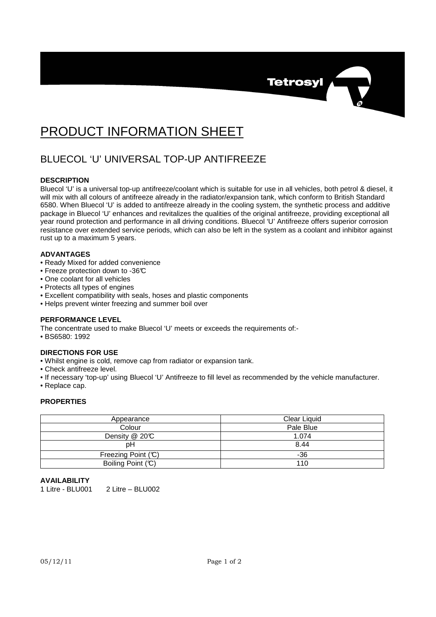

# PRODUCT INFORMATION SHEET

# BLUECOL 'U' UNIVERSAL TOP-UP ANTIFREEZE

## **DESCRIPTION**

Bluecol 'U' is a universal top-up antifreeze/coolant which is suitable for use in all vehicles, both petrol & diesel, it will mix with all colours of antifreeze already in the radiator/expansion tank, which conform to British Standard 6580. When Bluecol 'U' is added to antifreeze already in the cooling system, the synthetic process and additive package in Bluecol 'U' enhances and revitalizes the qualities of the original antifreeze, providing exceptional all year round protection and performance in all driving conditions. Bluecol 'U' Antifreeze offers superior corrosion resistance over extended service periods, which can also be left in the system as a coolant and inhibitor against rust up to a maximum 5 years.

#### **ADVANTAGES**

- Ready Mixed for added convenience
- Freeze protection down to -36°C
- One coolant for all vehicles
- Protects all types of engines
- Excellent compatibility with seals, hoses and plastic components
- Helps prevent winter freezing and summer boil over

## **PERFORMANCE LEVEL**

The concentrate used to make Bluecol 'U' meets or exceeds the requirements of:-

• BS6580: 1992

## **DIRECTIONS FOR USE**

- Whilst engine is cold, remove cap from radiator or expansion tank.
- Check antifreeze level.
- If necessary 'top-up' using Bluecol 'U' Antifreeze to fill level as recommended by the vehicle manufacturer.
- Replace cap.

#### **PROPERTIES**

| Appearance         | Clear Liquid |
|--------------------|--------------|
| Colour             | Pale Blue    |
| Density @ 20°C     | 1.074        |
| pН                 | 8.44         |
| Freezing Point (C) | -36          |
| Boiling Point (C)  | 110          |

#### **AVAILABILITY**

1 Litre - BLU001 2 Litre – BLU002